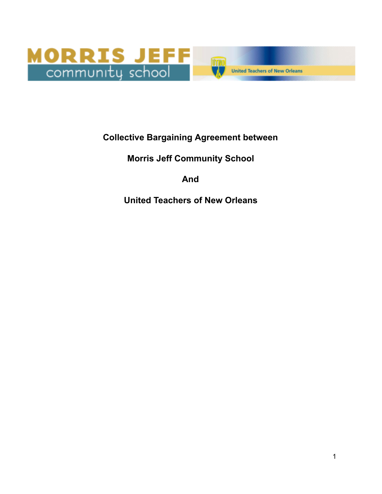

## **Collective Bargaining Agreement between**

## **Morris Jeff Community School**

## **And**

## **United Teachers of New Orleans**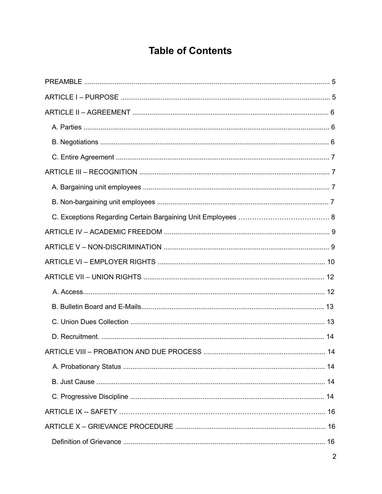# **Table of Contents**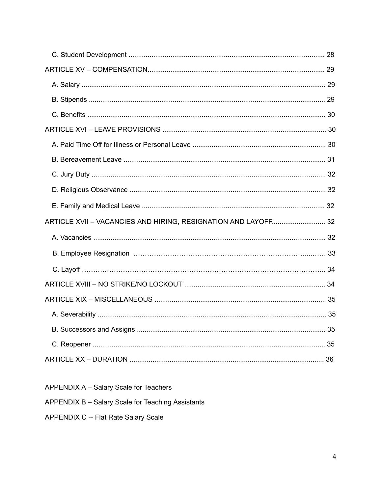| ARTICLE XVII - VACANCIES AND HIRING, RESIGNATION AND LAYOFF 32 |  |
|----------------------------------------------------------------|--|
|                                                                |  |
|                                                                |  |
|                                                                |  |
|                                                                |  |
|                                                                |  |
|                                                                |  |
|                                                                |  |
|                                                                |  |
|                                                                |  |

APPENDIX A - Salary Scale for Teachers

APPENDIX B - Salary Scale for Teaching Assistants

APPENDIX C -- Flat Rate Salary Scale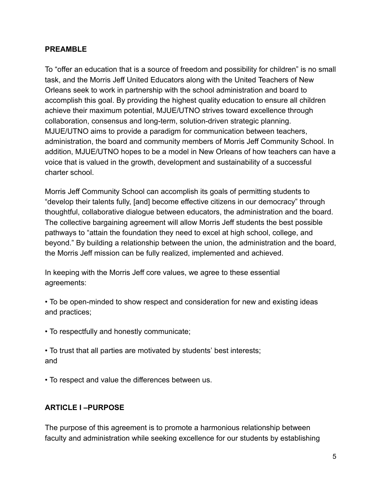#### **PREAMBLE**

To "offer an education that is a source of freedom and possibility for children" is no small task, and the Morris Jeff United Educators along with the United Teachers of New Orleans seek to work in partnership with the school administration and board to accomplish this goal. By providing the highest quality education to ensure all children achieve their maximum potential, MJUE/UTNO strives toward excellence through collaboration, consensus and long-term, solution-driven strategic planning. MJUE/UTNO aims to provide a paradigm for communication between teachers, administration, the board and community members of Morris Jeff Community School. In addition, MJUE/UTNO hopes to be a model in New Orleans of how teachers can have a voice that is valued in the growth, development and sustainability of a successful charter school.

Morris Jeff Community School can accomplish its goals of permitting students to "develop their talents fully, [and] become effective citizens in our democracy" through thoughtful, collaborative dialogue between educators, the administration and the board. The collective bargaining agreement will allow Morris Jeff students the best possible pathways to "attain the foundation they need to excel at high school, college, and beyond." By building a relationship between the union, the administration and the board, the Morris Jeff mission can be fully realized, implemented and achieved.

In keeping with the Morris Jeff core values, we agree to these essential agreements:

• To be open-minded to show respect and consideration for new and existing ideas and practices;

• To respectfully and honestly communicate;

• To trust that all parties are motivated by students' best interests; and

• To respect and value the differences between us.

#### **ARTICLE I –PURPOSE**

The purpose of this agreement is to promote a harmonious relationship between faculty and administration while seeking excellence for our students by establishing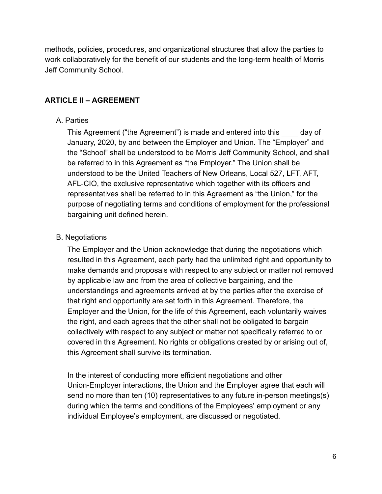methods, policies, procedures, and organizational structures that allow the parties to work collaboratively for the benefit of our students and the long-term health of Morris Jeff Community School.

## **ARTICLE II – AGREEMENT**

#### A. Parties

This Agreement ("the Agreement") is made and entered into this \_\_\_\_ day of January, 2020, by and between the Employer and Union. The "Employer" and the "School" shall be understood to be Morris Jeff Community School, and shall be referred to in this Agreement as "the Employer." The Union shall be understood to be the United Teachers of New Orleans, Local 527, LFT, AFT, AFL-CIO, the exclusive representative which together with its officers and representatives shall be referred to in this Agreement as "the Union," for the purpose of negotiating terms and conditions of employment for the professional bargaining unit defined herein.

#### B. Negotiations

The Employer and the Union acknowledge that during the negotiations which resulted in this Agreement, each party had the unlimited right and opportunity to make demands and proposals with respect to any subject or matter not removed by applicable law and from the area of collective bargaining, and the understandings and agreements arrived at by the parties after the exercise of that right and opportunity are set forth in this Agreement. Therefore, the Employer and the Union, for the life of this Agreement, each voluntarily waives the right, and each agrees that the other shall not be obligated to bargain collectively with respect to any subject or matter not specifically referred to or covered in this Agreement. No rights or obligations created by or arising out of, this Agreement shall survive its termination.

In the interest of conducting more efficient negotiations and other Union-Employer interactions, the Union and the Employer agree that each will send no more than ten (10) representatives to any future in-person meetings(s) during which the terms and conditions of the Employees' employment or any individual Employee's employment, are discussed or negotiated.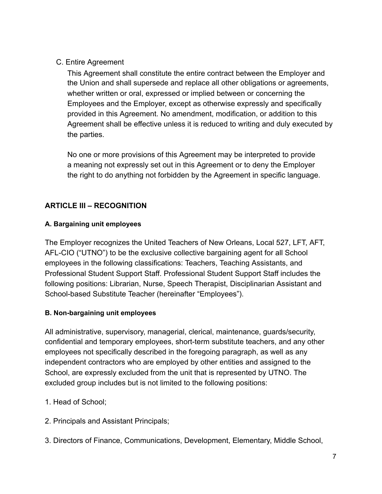C. Entire Agreement

This Agreement shall constitute the entire contract between the Employer and the Union and shall supersede and replace all other obligations or agreements, whether written or oral, expressed or implied between or concerning the Employees and the Employer, except as otherwise expressly and specifically provided in this Agreement. No amendment, modification, or addition to this Agreement shall be effective unless it is reduced to writing and duly executed by the parties.

No one or more provisions of this Agreement may be interpreted to provide a meaning not expressly set out in this Agreement or to deny the Employer the right to do anything not forbidden by the Agreement in specific language.

## **ARTICLE III – RECOGNITION**

## **A. Bargaining unit employees**

The Employer recognizes the United Teachers of New Orleans, Local 527, LFT, AFT, AFL-CIO ("UTNO") to be the exclusive collective bargaining agent for all School employees in the following classifications: Teachers, Teaching Assistants, and Professional Student Support Staff. Professional Student Support Staff includes the following positions: Librarian, Nurse, Speech Therapist, Disciplinarian Assistant and School-based Substitute Teacher (hereinafter "Employees").

## **B. Non-bargaining unit employees**

All administrative, supervisory, managerial, clerical, maintenance, guards/security, confidential and temporary employees, short-term substitute teachers, and any other employees not specifically described in the foregoing paragraph, as well as any independent contractors who are employed by other entities and assigned to the School, are expressly excluded from the unit that is represented by UTNO. The excluded group includes but is not limited to the following positions:

- 1. Head of School;
- 2. Principals and Assistant Principals;
- 3. Directors of Finance, Communications, Development, Elementary, Middle School,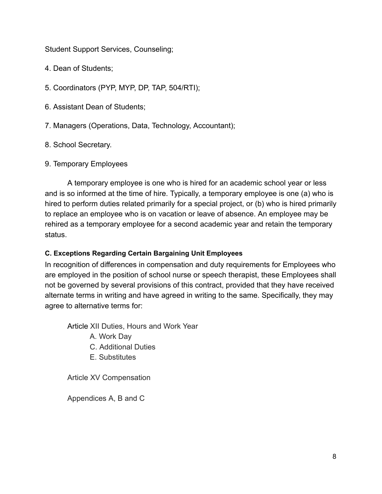Student Support Services, Counseling;

4. Dean of Students;

5. Coordinators (PYP, MYP, DP, TAP, 504/RTI);

6. Assistant Dean of Students;

7. Managers (Operations, Data, Technology, Accountant);

8. School Secretary.

### 9. Temporary Employees

A temporary employee is one who is hired for an academic school year or less and is so informed at the time of hire. Typically, a temporary employee is one (a) who is hired to perform duties related primarily for a special project, or (b) who is hired primarily to replace an employee who is on vacation or leave of absence. An employee may be rehired as a temporary employee for a second academic year and retain the temporary status.

## **C. Exceptions Regarding Certain Bargaining Unit Employees**

In recognition of differences in compensation and duty requirements for Employees who are employed in the position of school nurse or speech therapist, these Employees shall not be governed by several provisions of this contract, provided that they have received alternate terms in writing and have agreed in writing to the same. Specifically, they may agree to alternative terms for:

Article XII Duties, Hours and Work Year

- A. Work Day
- C. Additional Duties
- E. Substitutes

Article XV Compensation

Appendices A, B and C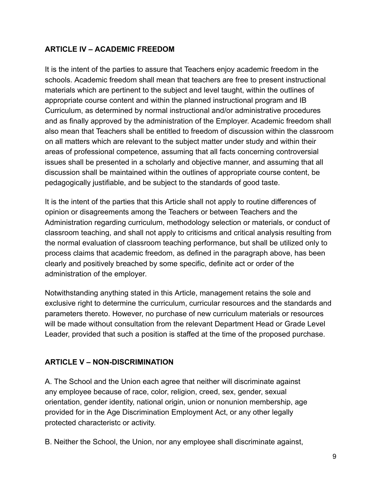## **ARTICLE IV – ACADEMIC FREEDOM**

It is the intent of the parties to assure that Teachers enjoy academic freedom in the schools. Academic freedom shall mean that teachers are free to present instructional materials which are pertinent to the subject and level taught, within the outlines of appropriate course content and within the planned instructional program and IB Curriculum, as determined by normal instructional and/or administrative procedures and as finally approved by the administration of the Employer. Academic freedom shall also mean that Teachers shall be entitled to freedom of discussion within the classroom on all matters which are relevant to the subject matter under study and within their areas of professional competence, assuming that all facts concerning controversial issues shall be presented in a scholarly and objective manner, and assuming that all discussion shall be maintained within the outlines of appropriate course content, be pedagogically justifiable, and be subject to the standards of good taste.

It is the intent of the parties that this Article shall not apply to routine differences of opinion or disagreements among the Teachers or between Teachers and the Administration regarding curriculum, methodology selection or materials, or conduct of classroom teaching, and shall not apply to criticisms and critical analysis resulting from the normal evaluation of classroom teaching performance, but shall be utilized only to process claims that academic freedom, as defined in the paragraph above, has been clearly and positively breached by some specific, definite act or order of the administration of the employer.

Notwithstanding anything stated in this Article, management retains the sole and exclusive right to determine the curriculum, curricular resources and the standards and parameters thereto. However, no purchase of new curriculum materials or resources will be made without consultation from the relevant Department Head or Grade Level Leader, provided that such a position is staffed at the time of the proposed purchase.

## **ARTICLE V – NON-DISCRIMINATION**

A. The School and the Union each agree that neither will discriminate against any employee because of race, color, religion, creed, sex, gender, sexual orientation, gender identity, national origin, union or nonunion membership, age provided for in the Age Discrimination Employment Act, or any other legally protected characteristc or activity.

B. Neither the School, the Union, nor any employee shall discriminate against,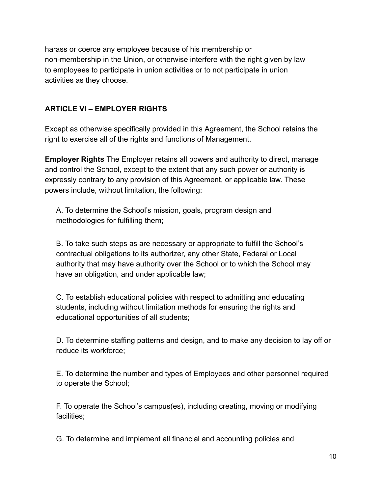harass or coerce any employee because of his membership or non-membership in the Union, or otherwise interfere with the right given by law to employees to participate in union activities or to not participate in union activities as they choose.

### **ARTICLE VI – EMPLOYER RIGHTS**

Except as otherwise specifically provided in this Agreement, the School retains the right to exercise all of the rights and functions of Management.

**Employer Rights** The Employer retains all powers and authority to direct, manage and control the School, except to the extent that any such power or authority is expressly contrary to any provision of this Agreement, or applicable law. These powers include, without limitation, the following:

A. To determine the School's mission, goals, program design and methodologies for fulfilling them;

B. To take such steps as are necessary or appropriate to fulfill the School's contractual obligations to its authorizer, any other State, Federal or Local authority that may have authority over the School or to which the School may have an obligation, and under applicable law;

C. To establish educational policies with respect to admitting and educating students, including without limitation methods for ensuring the rights and educational opportunities of all students;

D. To determine staffing patterns and design, and to make any decision to lay off or reduce its workforce;

E. To determine the number and types of Employees and other personnel required to operate the School;

F. To operate the School's campus(es), including creating, moving or modifying facilities;

G. To determine and implement all financial and accounting policies and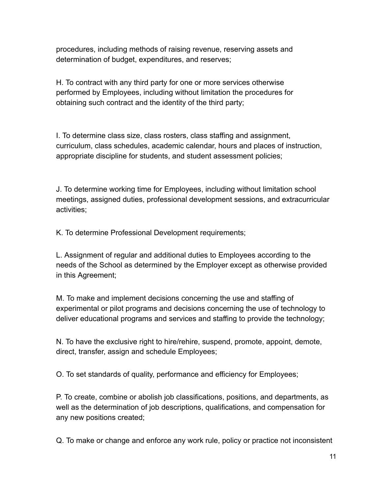procedures, including methods of raising revenue, reserving assets and determination of budget, expenditures, and reserves;

H. To contract with any third party for one or more services otherwise performed by Employees, including without limitation the procedures for obtaining such contract and the identity of the third party;

I. To determine class size, class rosters, class staffing and assignment, curriculum, class schedules, academic calendar, hours and places of instruction, appropriate discipline for students, and student assessment policies;

J. To determine working time for Employees, including without limitation school meetings, assigned duties, professional development sessions, and extracurricular activities;

K. To determine Professional Development requirements;

L. Assignment of regular and additional duties to Employees according to the needs of the School as determined by the Employer except as otherwise provided in this Agreement;

M. To make and implement decisions concerning the use and staffing of experimental or pilot programs and decisions concerning the use of technology to deliver educational programs and services and staffing to provide the technology;

N. To have the exclusive right to hire/rehire, suspend, promote, appoint, demote, direct, transfer, assign and schedule Employees;

O. To set standards of quality, performance and efficiency for Employees;

P. To create, combine or abolish job classifications, positions, and departments, as well as the determination of job descriptions, qualifications, and compensation for any new positions created;

Q. To make or change and enforce any work rule, policy or practice not inconsistent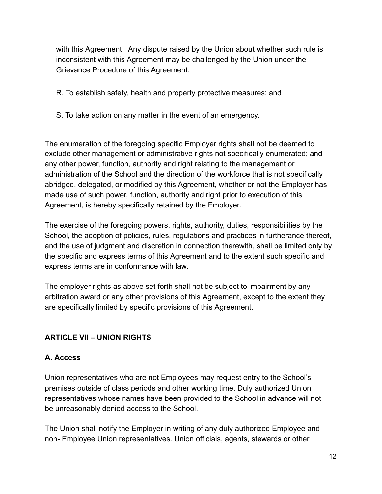with this Agreement. Any dispute raised by the Union about whether such rule is inconsistent with this Agreement may be challenged by the Union under the Grievance Procedure of this Agreement.

- R. To establish safety, health and property protective measures; and
- S. To take action on any matter in the event of an emergency.

The enumeration of the foregoing specific Employer rights shall not be deemed to exclude other management or administrative rights not specifically enumerated; and any other power, function, authority and right relating to the management or administration of the School and the direction of the workforce that is not specifically abridged, delegated, or modified by this Agreement, whether or not the Employer has made use of such power, function, authority and right prior to execution of this Agreement, is hereby specifically retained by the Employer.

The exercise of the foregoing powers, rights, authority, duties, responsibilities by the School, the adoption of policies, rules, regulations and practices in furtherance thereof, and the use of judgment and discretion in connection therewith, shall be limited only by the specific and express terms of this Agreement and to the extent such specific and express terms are in conformance with law.

The employer rights as above set forth shall not be subject to impairment by any arbitration award or any other provisions of this Agreement, except to the extent they are specifically limited by specific provisions of this Agreement.

## **ARTICLE VII – UNION RIGHTS**

## **A. Access**

Union representatives who are not Employees may request entry to the School's premises outside of class periods and other working time. Duly authorized Union representatives whose names have been provided to the School in advance will not be unreasonably denied access to the School.

The Union shall notify the Employer in writing of any duly authorized Employee and non- Employee Union representatives. Union officials, agents, stewards or other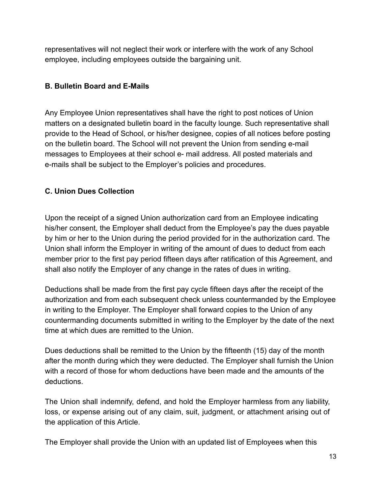representatives will not neglect their work or interfere with the work of any School employee, including employees outside the bargaining unit.

### **B. Bulletin Board and E-Mails**

Any Employee Union representatives shall have the right to post notices of Union matters on a designated bulletin board in the faculty lounge. Such representative shall provide to the Head of School, or his/her designee, copies of all notices before posting on the bulletin board. The School will not prevent the Union from sending e-mail messages to Employees at their school e- mail address. All posted materials and e-mails shall be subject to the Employer's policies and procedures.

## **C. Union Dues Collection**

Upon the receipt of a signed Union authorization card from an Employee indicating his/her consent, the Employer shall deduct from the Employee's pay the dues payable by him or her to the Union during the period provided for in the authorization card. The Union shall inform the Employer in writing of the amount of dues to deduct from each member prior to the first pay period fifteen days after ratification of this Agreement, and shall also notify the Employer of any change in the rates of dues in writing.

Deductions shall be made from the first pay cycle fifteen days after the receipt of the authorization and from each subsequent check unless countermanded by the Employee in writing to the Employer. The Employer shall forward copies to the Union of any countermanding documents submitted in writing to the Employer by the date of the next time at which dues are remitted to the Union.

Dues deductions shall be remitted to the Union by the fifteenth (15) day of the month after the month during which they were deducted. The Employer shall furnish the Union with a record of those for whom deductions have been made and the amounts of the deductions.

The Union shall indemnify, defend, and hold the Employer harmless from any liability, loss, or expense arising out of any claim, suit, judgment, or attachment arising out of the application of this Article.

The Employer shall provide the Union with an updated list of Employees when this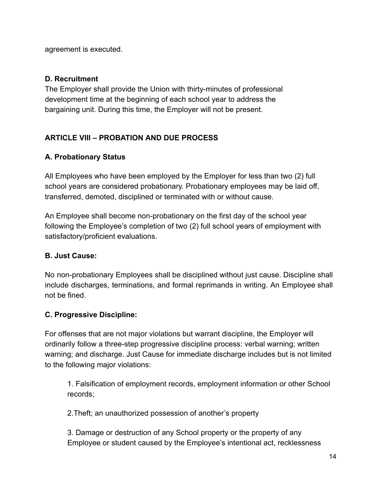agreement is executed.

## **D. Recruitment**

The Employer shall provide the Union with thirty-minutes of professional development time at the beginning of each school year to address the bargaining unit. During this time, the Employer will not be present.

## **ARTICLE VIII – PROBATION AND DUE PROCESS**

## **A. Probationary Status**

All Employees who have been employed by the Employer for less than two (2) full school years are considered probationary. Probationary employees may be laid off, transferred, demoted, disciplined or terminated with or without cause.

An Employee shall become non-probationary on the first day of the school year following the Employee's completion of two (2) full school years of employment with satisfactory/proficient evaluations.

## **B. Just Cause:**

No non-probationary Employees shall be disciplined without just cause. Discipline shall include discharges, terminations, and formal reprimands in writing. An Employee shall not be fined.

## **C. Progressive Discipline:**

For offenses that are not major violations but warrant discipline, the Employer will ordinarily follow a three-step progressive discipline process: verbal warning; written warning; and discharge. Just Cause for immediate discharge includes but is not limited to the following major violations:

1. Falsification of employment records, employment information or other School records;

2.Theft; an unauthorized possession of another's property

3. Damage or destruction of any School property or the property of any Employee or student caused by the Employee's intentional act, recklessness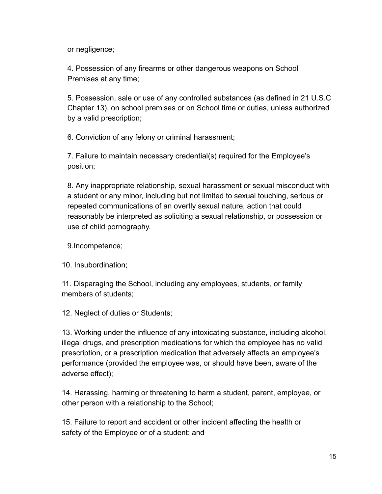or negligence;

4. Possession of any firearms or other dangerous weapons on School Premises at any time;

5. Possession, sale or use of any controlled substances (as defined in 21 U.S.C Chapter 13), on school premises or on School time or duties, unless authorized by a valid prescription;

6. Conviction of any felony or criminal harassment;

7. Failure to maintain necessary credential(s) required for the Employee's position;

8. Any inappropriate relationship, sexual harassment or sexual misconduct with a student or any minor, including but not limited to sexual touching, serious or repeated communications of an overtly sexual nature, action that could reasonably be interpreted as soliciting a sexual relationship, or possession or use of child pornography.

9.Incompetence;

10. Insubordination;

11. Disparaging the School, including any employees, students, or family members of students;

12. Neglect of duties or Students;

13. Working under the influence of any intoxicating substance, including alcohol, illegal drugs, and prescription medications for which the employee has no valid prescription, or a prescription medication that adversely affects an employee's performance (provided the employee was, or should have been, aware of the adverse effect);

14. Harassing, harming or threatening to harm a student, parent, employee, or other person with a relationship to the School;

15. Failure to report and accident or other incident affecting the health or safety of the Employee or of a student; and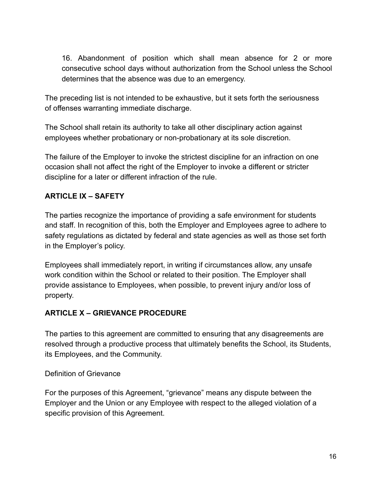16. Abandonment of position which shall mean absence for 2 or more consecutive school days without authorization from the School unless the School determines that the absence was due to an emergency.

The preceding list is not intended to be exhaustive, but it sets forth the seriousness of offenses warranting immediate discharge.

The School shall retain its authority to take all other disciplinary action against employees whether probationary or non-probationary at its sole discretion.

The failure of the Employer to invoke the strictest discipline for an infraction on one occasion shall not affect the right of the Employer to invoke a different or stricter discipline for a later or different infraction of the rule.

## **ARTICLE IX – SAFETY**

The parties recognize the importance of providing a safe environment for students and staff. In recognition of this, both the Employer and Employees agree to adhere to safety regulations as dictated by federal and state agencies as well as those set forth in the Employer's policy.

Employees shall immediately report, in writing if circumstances allow, any unsafe work condition within the School or related to their position. The Employer shall provide assistance to Employees, when possible, to prevent injury and/or loss of property.

## **ARTICLE X – GRIEVANCE PROCEDURE**

The parties to this agreement are committed to ensuring that any disagreements are resolved through a productive process that ultimately benefits the School, its Students, its Employees, and the Community.

## Definition of Grievance

For the purposes of this Agreement, "grievance" means any dispute between the Employer and the Union or any Employee with respect to the alleged violation of a specific provision of this Agreement.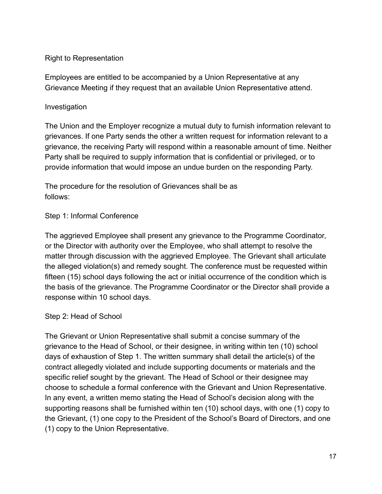#### Right to Representation

Employees are entitled to be accompanied by a Union Representative at any Grievance Meeting if they request that an available Union Representative attend.

#### Investigation

The Union and the Employer recognize a mutual duty to furnish information relevant to grievances. If one Party sends the other a written request for information relevant to a grievance, the receiving Party will respond within a reasonable amount of time. Neither Party shall be required to supply information that is confidential or privileged, or to provide information that would impose an undue burden on the responding Party.

The procedure for the resolution of Grievances shall be as follows:

#### Step 1: Informal Conference

The aggrieved Employee shall present any grievance to the Programme Coordinator, or the Director with authority over the Employee, who shall attempt to resolve the matter through discussion with the aggrieved Employee. The Grievant shall articulate the alleged violation(s) and remedy sought. The conference must be requested within fifteen (15) school days following the act or initial occurrence of the condition which is the basis of the grievance. The Programme Coordinator or the Director shall provide a response within 10 school days.

#### Step 2: Head of School

The Grievant or Union Representative shall submit a concise summary of the grievance to the Head of School, or their designee, in writing within ten (10) school days of exhaustion of Step 1. The written summary shall detail the article(s) of the contract allegedly violated and include supporting documents or materials and the specific relief sought by the grievant. The Head of School or their designee may choose to schedule a formal conference with the Grievant and Union Representative. In any event, a written memo stating the Head of School's decision along with the supporting reasons shall be furnished within ten (10) school days, with one (1) copy to the Grievant, (1) one copy to the President of the School's Board of Directors, and one (1) copy to the Union Representative.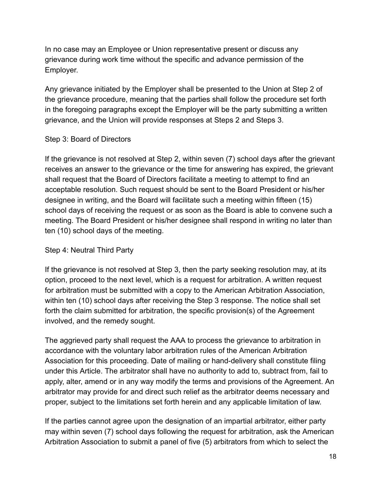In no case may an Employee or Union representative present or discuss any grievance during work time without the specific and advance permission of the Employer.

Any grievance initiated by the Employer shall be presented to the Union at Step 2 of the grievance procedure, meaning that the parties shall follow the procedure set forth in the foregoing paragraphs except the Employer will be the party submitting a written grievance, and the Union will provide responses at Steps 2 and Steps 3.

#### Step 3: Board of Directors

If the grievance is not resolved at Step 2, within seven (7) school days after the grievant receives an answer to the grievance or the time for answering has expired, the grievant shall request that the Board of Directors facilitate a meeting to attempt to find an acceptable resolution. Such request should be sent to the Board President or his/her designee in writing, and the Board will facilitate such a meeting within fifteen (15) school days of receiving the request or as soon as the Board is able to convene such a meeting. The Board President or his/her designee shall respond in writing no later than ten (10) school days of the meeting.

#### Step 4: Neutral Third Party

If the grievance is not resolved at Step 3, then the party seeking resolution may, at its option, proceed to the next level, which is a request for arbitration. A written request for arbitration must be submitted with a copy to the American Arbitration Association, within ten (10) school days after receiving the Step 3 response. The notice shall set forth the claim submitted for arbitration, the specific provision(s) of the Agreement involved, and the remedy sought.

The aggrieved party shall request the AAA to process the grievance to arbitration in accordance with the voluntary labor arbitration rules of the American Arbitration Association for this proceeding. Date of mailing or hand-delivery shall constitute filing under this Article. The arbitrator shall have no authority to add to, subtract from, fail to apply, alter, amend or in any way modify the terms and provisions of the Agreement. An arbitrator may provide for and direct such relief as the arbitrator deems necessary and proper, subject to the limitations set forth herein and any applicable limitation of law.

If the parties cannot agree upon the designation of an impartial arbitrator, either party may within seven (7) school days following the request for arbitration, ask the American Arbitration Association to submit a panel of five (5) arbitrators from which to select the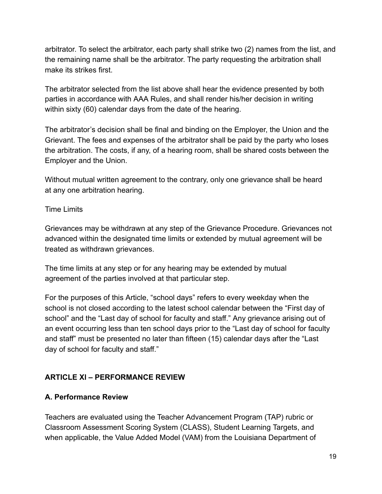arbitrator. To select the arbitrator, each party shall strike two (2) names from the list, and the remaining name shall be the arbitrator. The party requesting the arbitration shall make its strikes first.

The arbitrator selected from the list above shall hear the evidence presented by both parties in accordance with AAA Rules, and shall render his/her decision in writing within sixty (60) calendar days from the date of the hearing.

The arbitrator's decision shall be final and binding on the Employer, the Union and the Grievant. The fees and expenses of the arbitrator shall be paid by the party who loses the arbitration. The costs, if any, of a hearing room, shall be shared costs between the Employer and the Union.

Without mutual written agreement to the contrary, only one grievance shall be heard at any one arbitration hearing.

Time Limits

Grievances may be withdrawn at any step of the Grievance Procedure. Grievances not advanced within the designated time limits or extended by mutual agreement will be treated as withdrawn grievances.

The time limits at any step or for any hearing may be extended by mutual agreement of the parties involved at that particular step.

For the purposes of this Article, "school days" refers to every weekday when the school is not closed according to the latest school calendar between the "First day of school" and the "Last day of school for faculty and staff." Any grievance arising out of an event occurring less than ten school days prior to the "Last day of school for faculty and staff" must be presented no later than fifteen (15) calendar days after the "Last day of school for faculty and staff."

## **ARTICLE Xl – PERFORMANCE REVIEW**

#### **A. Performance Review**

Teachers are evaluated using the Teacher Advancement Program (TAP) rubric or Classroom Assessment Scoring System (CLASS), Student Learning Targets, and when applicable, the Value Added Model (VAM) from the Louisiana Department of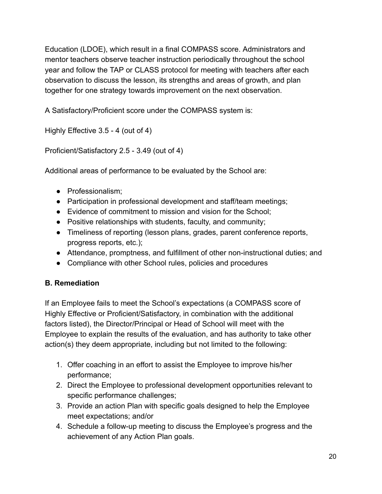Education (LDOE), which result in a final COMPASS score. Administrators and mentor teachers observe teacher instruction periodically throughout the school year and follow the TAP or CLASS protocol for meeting with teachers after each observation to discuss the lesson, its strengths and areas of growth, and plan together for one strategy towards improvement on the next observation.

A Satisfactory/Proficient score under the COMPASS system is:

Highly Effective 3.5 - 4 (out of 4)

Proficient/Satisfactory 2.5 - 3.49 (out of 4)

Additional areas of performance to be evaluated by the School are:

- Professionalism;
- Participation in professional development and staff/team meetings;
- Evidence of commitment to mission and vision for the School;
- Positive relationships with students, faculty, and community;
- Timeliness of reporting (lesson plans, grades, parent conference reports, progress reports, etc.);
- Attendance, promptness, and fulfillment of other non-instructional duties; and
- Compliance with other School rules, policies and procedures

## **B. Remediation**

If an Employee fails to meet the School's expectations (a COMPASS score of Highly Effective or Proficient/Satisfactory, in combination with the additional factors listed), the Director/Principal or Head of School will meet with the Employee to explain the results of the evaluation, and has authority to take other action(s) they deem appropriate, including but not limited to the following:

- 1. Offer coaching in an effort to assist the Employee to improve his/her performance;
- 2. Direct the Employee to professional development opportunities relevant to specific performance challenges;
- 3. Provide an action Plan with specific goals designed to help the Employee meet expectations; and/or
- 4. Schedule a follow-up meeting to discuss the Employee's progress and the achievement of any Action Plan goals.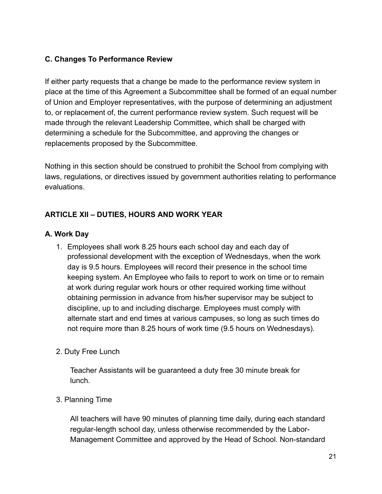## **C. Changes To Performance Review**

If either party requests that a change be made to the performance review system in place at the time of this Agreement a Subcommittee shall be formed of an equal number of Union and Employer representatives, with the purpose of determining an adjustment to, or replacement of, the current performance review system. Such request will be made through the relevant Leadership Committee, which shall be charged with determining a schedule for the Subcommittee, and approving the changes or replacements proposed by the Subcommittee.

Nothing in this section should be construed to prohibit the School from complying with laws, regulations, or directives issued by government authorities relating to performance evaluations.

### **ARTICLE XII – DUTIES, HOURS AND WORK YEAR**

#### **A. Work Day**

1. Employees shall work 8.25 hours each school day and each day of professional development with the exception of Wednesdays, when the work day is 9.5 hours. Employees will record their presence in the school time keeping system. An Employee who fails to report to work on time or to remain at work during regular work hours or other required working time without obtaining permission in advance from his/her supervisor may be subject to discipline, up to and including discharge. Employees must comply with alternate start and end times at various campuses, so long as such times do not require more than 8.25 hours of work time (9.5 hours on Wednesdays).

#### 2. Duty Free Lunch

Teacher Assistants will be guaranteed a duty free 30 minute break for lunch.

#### 3. Planning Time

All teachers will have 90 minutes of planning time daily, during each standard regular-length school day, unless otherwise recommended by the Labor-Management Committee and approved by the Head of School. Non-standard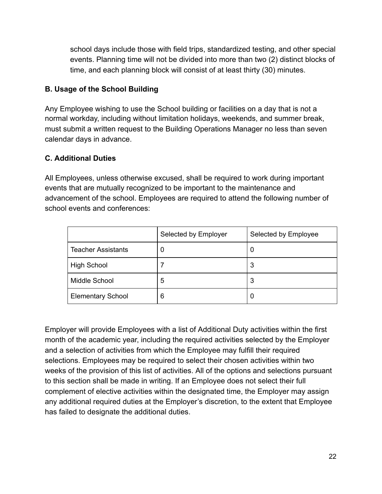school days include those with field trips, standardized testing, and other special events. Planning time will not be divided into more than two (2) distinct blocks of time, and each planning block will consist of at least thirty (30) minutes.

## **B. Usage of the School Building**

Any Employee wishing to use the School building or facilities on a day that is not a normal workday, including without limitation holidays, weekends, and summer break, must submit a written request to the Building Operations Manager no less than seven calendar days in advance.

### **C. Additional Duties**

All Employees, unless otherwise excused, shall be required to work during important events that are mutually recognized to be important to the maintenance and advancement of the school. Employees are required to attend the following number of school events and conferences:

|                           | Selected by Employer | Selected by Employee |
|---------------------------|----------------------|----------------------|
| <b>Teacher Assistants</b> | 0                    | U                    |
| <b>High School</b>        |                      | 3                    |
| Middle School             | 5                    | 3                    |
| <b>Elementary School</b>  | 6                    |                      |

Employer will provide Employees with a list of Additional Duty activities within the first month of the academic year, including the required activities selected by the Employer and a selection of activities from which the Employee may fulfill their required selections. Employees may be required to select their chosen activities within two weeks of the provision of this list of activities. All of the options and selections pursuant to this section shall be made in writing. If an Employee does not select their full complement of elective activities within the designated time, the Employer may assign any additional required duties at the Employer's discretion, to the extent that Employee has failed to designate the additional duties.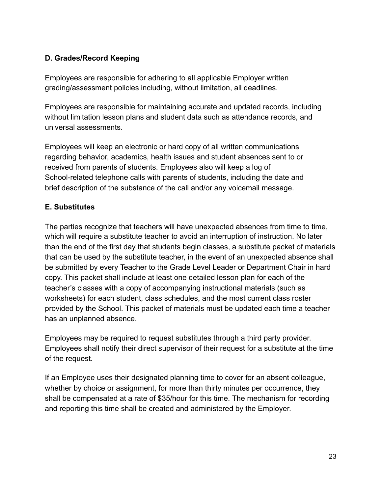## **D. Grades/Record Keeping**

Employees are responsible for adhering to all applicable Employer written grading/assessment policies including, without limitation, all deadlines.

Employees are responsible for maintaining accurate and updated records, including without limitation lesson plans and student data such as attendance records, and universal assessments.

Employees will keep an electronic or hard copy of all written communications regarding behavior, academics, health issues and student absences sent to or received from parents of students. Employees also will keep a log of School-related telephone calls with parents of students, including the date and brief description of the substance of the call and/or any voicemail message.

## **E. Substitutes**

The parties recognize that teachers will have unexpected absences from time to time, which will require a substitute teacher to avoid an interruption of instruction. No later than the end of the first day that students begin classes, a substitute packet of materials that can be used by the substitute teacher, in the event of an unexpected absence shall be submitted by every Teacher to the Grade Level Leader or Department Chair in hard copy. This packet shall include at least one detailed lesson plan for each of the teacher's classes with a copy of accompanying instructional materials (such as worksheets) for each student, class schedules, and the most current class roster provided by the School. This packet of materials must be updated each time a teacher has an unplanned absence.

Employees may be required to request substitutes through a third party provider. Employees shall notify their direct supervisor of their request for a substitute at the time of the request.

If an Employee uses their designated planning time to cover for an absent colleague, whether by choice or assignment, for more than thirty minutes per occurrence, they shall be compensated at a rate of \$35/hour for this time. The mechanism for recording and reporting this time shall be created and administered by the Employer.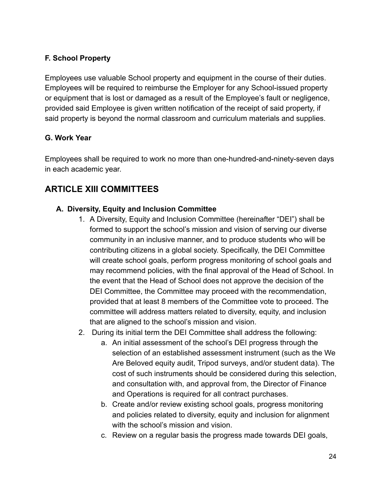## **F. School Property**

Employees use valuable School property and equipment in the course of their duties. Employees will be required to reimburse the Employer for any School-issued property or equipment that is lost or damaged as a result of the Employee's fault or negligence, provided said Employee is given written notification of the receipt of said property, if said property is beyond the normal classroom and curriculum materials and supplies.

## **G. Work Year**

Employees shall be required to work no more than one-hundred-and-ninety-seven days in each academic year.

## **ARTICLE XIII COMMITTEES**

### **A. Diversity, Equity and Inclusion Committee**

- 1. A Diversity, Equity and Inclusion Committee (hereinafter "DEI") shall be formed to support the school's mission and vision of serving our diverse community in an inclusive manner, and to produce students who will be contributing citizens in a global society. Specifically, the DEI Committee will create school goals, perform progress monitoring of school goals and may recommend policies, with the final approval of the Head of School. In the event that the Head of School does not approve the decision of the DEI Committee, the Committee may proceed with the recommendation, provided that at least 8 members of the Committee vote to proceed. The committee will address matters related to diversity, equity, and inclusion that are aligned to the school's mission and vision.
- 2. During its initial term the DEI Committee shall address the following:
	- a. An initial assessment of the school's DEI progress through the selection of an established assessment instrument (such as the We Are Beloved equity audit, Tripod surveys, and/or student data). The cost of such instruments should be considered during this selection, and consultation with, and approval from, the Director of Finance and Operations is required for all contract purchases.
	- b. Create and/or review existing school goals, progress monitoring and policies related to diversity, equity and inclusion for alignment with the school's mission and vision.
	- c. Review on a regular basis the progress made towards DEI goals,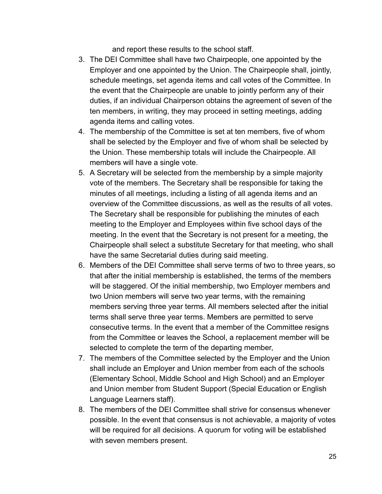and report these results to the school staff.

- 3. The DEI Committee shall have two Chairpeople, one appointed by the Employer and one appointed by the Union. The Chairpeople shall, jointly, schedule meetings, set agenda items and call votes of the Committee. In the event that the Chairpeople are unable to jointly perform any of their duties, if an individual Chairperson obtains the agreement of seven of the ten members, in writing, they may proceed in setting meetings, adding agenda items and calling votes.
- 4. The membership of the Committee is set at ten members, five of whom shall be selected by the Employer and five of whom shall be selected by the Union. These membership totals will include the Chairpeople. All members will have a single vote.
- 5. A Secretary will be selected from the membership by a simple majority vote of the members. The Secretary shall be responsible for taking the minutes of all meetings, including a listing of all agenda items and an overview of the Committee discussions, as well as the results of all votes. The Secretary shall be responsible for publishing the minutes of each meeting to the Employer and Employees within five school days of the meeting. In the event that the Secretary is not present for a meeting, the Chairpeople shall select a substitute Secretary for that meeting, who shall have the same Secretarial duties during said meeting.
- 6. Members of the DEI Committee shall serve terms of two to three years, so that after the initial membership is established, the terms of the members will be staggered. Of the initial membership, two Employer members and two Union members will serve two year terms, with the remaining members serving three year terms. All members selected after the initial terms shall serve three year terms. Members are permitted to serve consecutive terms. In the event that a member of the Committee resigns from the Committee or leaves the School, a replacement member will be selected to complete the term of the departing member,
- 7. The members of the Committee selected by the Employer and the Union shall include an Employer and Union member from each of the schools (Elementary School, Middle School and High School) and an Employer and Union member from Student Support (Special Education or English Language Learners staff).
- 8. The members of the DEI Committee shall strive for consensus whenever possible. In the event that consensus is not achievable, a majority of votes will be required for all decisions. A quorum for voting will be established with seven members present.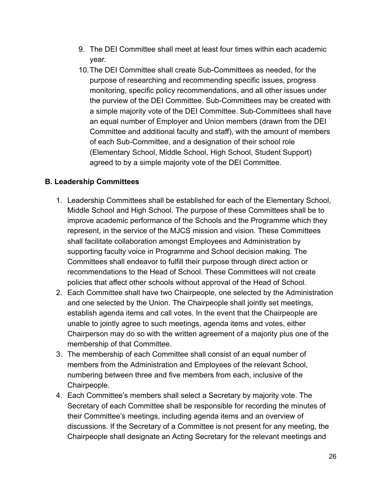- 9. The DEI Committee shall meet at least four times within each academic year.
- 10.The DEI Committee shall create Sub-Committees as needed, for the purpose of researching and recommending specific issues, progress monitoring, specific policy recommendations, and all other issues under the purview of the DEI Committee. Sub-Committees may be created with a simple majority vote of the DEI Committee. Sub-Committees shall have an equal number of Employer and Union members (drawn from the DEI Committee and additional faculty and staff), with the amount of members of each Sub-Committee, and a designation of their school role (Elementary School, Middle School, High School, Student Support) agreed to by a simple majority vote of the DEI Committee.

### **B. Leadership Committees**

- 1. Leadership Committees shall be established for each of the Elementary School, Middle School and High School. The purpose of these Committees shall be to improve academic performance of the Schools and the Programme which they represent, in the service of the MJCS mission and vision. These Committees shall facilitate collaboration amongst Employees and Administration by supporting faculty voice in Programme and School decision making. The Committees shall endeavor to fulfill their purpose through direct action or recommendations to the Head of School. These Committees will not create policies that affect other schools without approval of the Head of School.
- 2. Each Committee shall have two Chairpeople, one selected by the Administration and one selected by the Union. The Chairpeople shall jointly set meetings, establish agenda items and call votes. In the event that the Chairpeople are unable to jointly agree to such meetings, agenda items and votes, either Chairperson may do so with the written agreement of a majority plus one of the membership of that Committee.
- 3. The membership of each Committee shall consist of an equal number of members from the Administration and Employees of the relevant School, numbering between three and five members from each, inclusive of the Chairpeople.
- 4. Each Committee's members shall select a Secretary by majority vote. The Secretary of each Committee shall be responsible for recording the minutes of their Committee's meetings, including agenda items and an overview of discussions. If the Secretary of a Committee is not present for any meeting, the Chairpeople shall designate an Acting Secretary for the relevant meetings and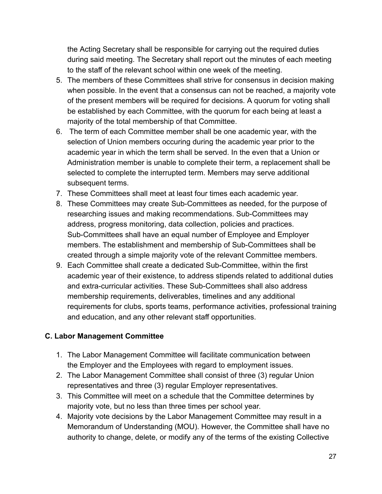the Acting Secretary shall be responsible for carrying out the required duties during said meeting. The Secretary shall report out the minutes of each meeting to the staff of the relevant school within one week of the meeting.

- 5. The members of these Committees shall strive for consensus in decision making when possible. In the event that a consensus can not be reached, a majority vote of the present members will be required for decisions. A quorum for voting shall be established by each Committee, with the quorum for each being at least a majority of the total membership of that Committee.
- 6. The term of each Committee member shall be one academic year, with the selection of Union members occuring during the academic year prior to the academic year in which the term shall be served. In the even that a Union or Administration member is unable to complete their term, a replacement shall be selected to complete the interrupted term. Members may serve additional subsequent terms.
- 7. These Committees shall meet at least four times each academic year.
- 8. These Committees may create Sub-Committees as needed, for the purpose of researching issues and making recommendations. Sub-Committees may address, progress monitoring, data collection, policies and practices. Sub-Committees shall have an equal number of Employee and Employer members. The establishment and membership of Sub-Committees shall be created through a simple majority vote of the relevant Committee members.
- 9. Each Committee shall create a dedicated Sub-Committee, within the first academic year of their existence, to address stipends related to additional duties and extra-curricular activities. These Sub-Committees shall also address membership requirements, deliverables, timelines and any additional requirements for clubs, sports teams, performance activities, professional training and education, and any other relevant staff opportunities.

#### **C. Labor Management Committee**

- 1. The Labor Management Committee will facilitate communication between the Employer and the Employees with regard to employment issues.
- 2. The Labor Management Committee shall consist of three (3) regular Union representatives and three (3) regular Employer representatives.
- 3. This Committee will meet on a schedule that the Committee determines by majority vote, but no less than three times per school year.
- 4. Majority vote decisions by the Labor Management Committee may result in a Memorandum of Understanding (MOU). However, the Committee shall have no authority to change, delete, or modify any of the terms of the existing Collective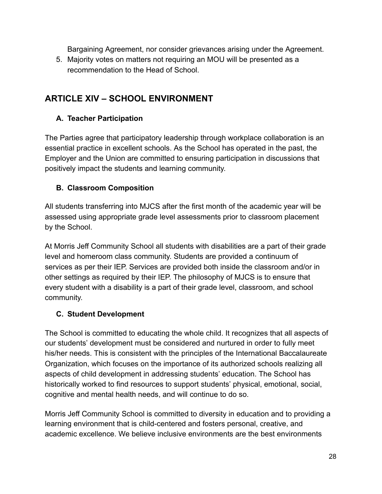Bargaining Agreement, nor consider grievances arising under the Agreement.

5. Majority votes on matters not requiring an MOU will be presented as a recommendation to the Head of School.

## **ARTICLE XlV – SCHOOL ENVIRONMENT**

## **A. Teacher Participation**

The Parties agree that participatory leadership through workplace collaboration is an essential practice in excellent schools. As the School has operated in the past, the Employer and the Union are committed to ensuring participation in discussions that positively impact the students and learning community.

## **B. Classroom Composition**

All students transferring into MJCS after the first month of the academic year will be assessed using appropriate grade level assessments prior to classroom placement by the School.

At Morris Jeff Community School all students with disabilities are a part of their grade level and homeroom class community. Students are provided a continuum of services as per their IEP. Services are provided both inside the classroom and/or in other settings as required by their IEP. The philosophy of MJCS is to ensure that every student with a disability is a part of their grade level, classroom, and school community.

## **C. Student Development**

The School is committed to educating the whole child. It recognizes that all aspects of our students' development must be considered and nurtured in order to fully meet his/her needs. This is consistent with the principles of the International Baccalaureate Organization, which focuses on the importance of its authorized schools realizing all aspects of child development in addressing students' education. The School has historically worked to find resources to support students' physical, emotional, social, cognitive and mental health needs, and will continue to do so.

Morris Jeff Community School is committed to diversity in education and to providing a learning environment that is child-centered and fosters personal, creative, and academic excellence. We believe inclusive environments are the best environments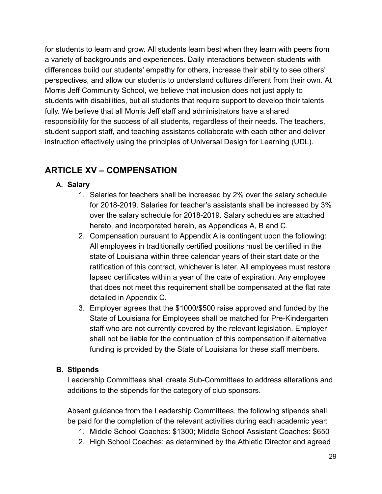for students to learn and grow. All students learn best when they learn with peers from a variety of backgrounds and experiences. Daily interactions between students with differences build our students' empathy for others, increase their ability to see others' perspectives, and allow our students to understand cultures different from their own. At Morris Jeff Community School, we believe that inclusion does not just apply to students with disabilities, but all students that require support to develop their talents fully. We believe that all Morris Jeff staff and administrators have a shared responsibility for the success of all students, regardless of their needs. The teachers, student support staff, and teaching assistants collaborate with each other and deliver instruction effectively using the principles of Universal Design for Learning (UDL).

## **ARTICLE XV – COMPENSATION**

## **A. Salary**

- 1. Salaries for teachers shall be increased by 2% over the salary schedule for 2018-2019. Salaries for teacher's assistants shall be increased by 3% over the salary schedule for 2018-2019. Salary schedules are attached hereto, and incorporated herein, as Appendices A, B and C.
- 2. Compensation pursuant to Appendix A is contingent upon the following: All employees in traditionally certified positions must be certified in the state of Louisiana within three calendar years of their start date or the ratification of this contract, whichever is later. All employees must restore lapsed certificates within a year of the date of expiration. Any employee that does not meet this requirement shall be compensated at the flat rate detailed in Appendix C.
- 3. Employer agrees that the \$1000/\$500 raise approved and funded by the State of Louisiana for Employees shall be matched for Pre-Kindergarten staff who are not currently covered by the relevant legislation. Employer shall not be liable for the continuation of this compensation if alternative funding is provided by the State of Louisiana for these staff members.

#### **B. Stipends**

Leadership Committees shall create Sub-Committees to address alterations and additions to the stipends for the category of club sponsors.

Absent guidance from the Leadership Committees, the following stipends shall be paid for the completion of the relevant activities during each academic year:

- 1. Middle School Coaches: \$1300; Middle School Assistant Coaches: \$650
- 2. High School Coaches: as determined by the Athletic Director and agreed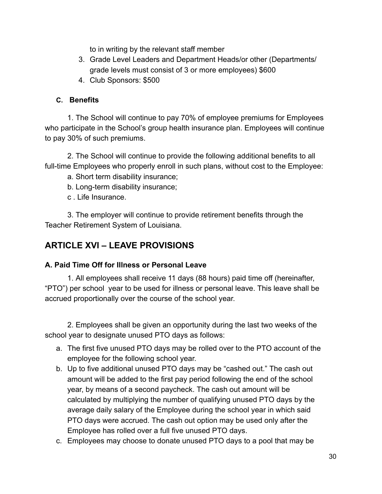to in writing by the relevant staff member

- 3. Grade Level Leaders and Department Heads/or other (Departments/ grade levels must consist of 3 or more employees) \$600
- 4. Club Sponsors: \$500

## **C. Benefits**

1. The School will continue to pay 70% of employee premiums for Employees who participate in the School's group health insurance plan. Employees will continue to pay 30% of such premiums.

2. The School will continue to provide the following additional benefits to all full-time Employees who properly enroll in such plans, without cost to the Employee:

a. Short term disability insurance;

b. Long-term disability insurance;

c . Life Insurance.

3. The employer will continue to provide retirement benefits through the Teacher Retirement System of Louisiana.

## **ARTICLE XVI – LEAVE PROVISIONS**

## **A. Paid Time Off for Illness or Personal Leave**

1. All employees shall receive 11 days (88 hours) paid time off (hereinafter, "PTO") per school year to be used for illness or personal leave. This leave shall be accrued proportionally over the course of the school year.

2. Employees shall be given an opportunity during the last two weeks of the school year to designate unused PTO days as follows:

- a. The first five unused PTO days may be rolled over to the PTO account of the employee for the following school year.
- b. Up to five additional unused PTO days may be "cashed out." The cash out amount will be added to the first pay period following the end of the school year, by means of a second paycheck. The cash out amount will be calculated by multiplying the number of qualifying unused PTO days by the average daily salary of the Employee during the school year in which said PTO days were accrued. The cash out option may be used only after the Employee has rolled over a full five unused PTO days.
- c. Employees may choose to donate unused PTO days to a pool that may be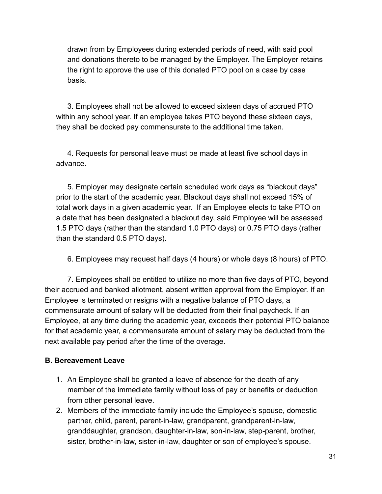drawn from by Employees during extended periods of need, with said pool and donations thereto to be managed by the Employer. The Employer retains the right to approve the use of this donated PTO pool on a case by case basis.

3. Employees shall not be allowed to exceed sixteen days of accrued PTO within any school year. If an employee takes PTO beyond these sixteen days, they shall be docked pay commensurate to the additional time taken.

4. Requests for personal leave must be made at least five school days in advance.

5. Employer may designate certain scheduled work days as "blackout days" prior to the start of the academic year. Blackout days shall not exceed 15% of total work days in a given academic year. If an Employee elects to take PTO on a date that has been designated a blackout day, said Employee will be assessed 1.5 PTO days (rather than the standard 1.0 PTO days) or 0.75 PTO days (rather than the standard 0.5 PTO days).

6. Employees may request half days (4 hours) or whole days (8 hours) of PTO.

7. Employees shall be entitled to utilize no more than five days of PTO, beyond their accrued and banked allotment, absent written approval from the Employer. If an Employee is terminated or resigns with a negative balance of PTO days, a commensurate amount of salary will be deducted from their final paycheck. If an Employee, at any time during the academic year, exceeds their potential PTO balance for that academic year, a commensurate amount of salary may be deducted from the next available pay period after the time of the overage.

## **B. Bereavement Leave**

- 1. An Employee shall be granted a leave of absence for the death of any member of the immediate family without loss of pay or benefits or deduction from other personal leave.
- 2. Members of the immediate family include the Employee's spouse, domestic partner, child, parent, parent-in-law, grandparent, grandparent-in-law, granddaughter, grandson, daughter-in-law, son-in-law, step-parent, brother, sister, brother-in-law, sister-in-law, daughter or son of employee's spouse.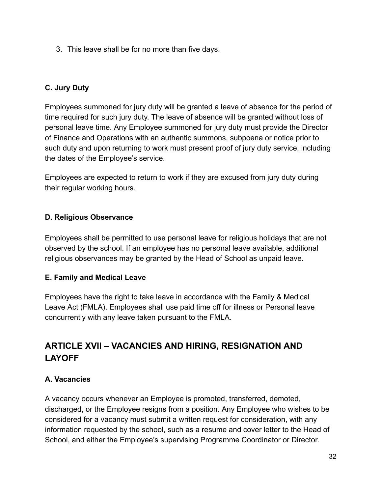3. This leave shall be for no more than five days.

## **C. Jury Duty**

Employees summoned for jury duty will be granted a leave of absence for the period of time required for such jury duty. The leave of absence will be granted without loss of personal leave time. Any Employee summoned for jury duty must provide the Director of Finance and Operations with an authentic summons, subpoena or notice prior to such duty and upon returning to work must present proof of jury duty service, including the dates of the Employee's service.

Employees are expected to return to work if they are excused from jury duty during their regular working hours.

### **D. Religious Observance**

Employees shall be permitted to use personal leave for religious holidays that are not observed by the school. If an employee has no personal leave available, additional religious observances may be granted by the Head of School as unpaid leave.

## **E. Family and Medical Leave**

Employees have the right to take leave in accordance with the Family & Medical Leave Act (FMLA). Employees shall use paid time off for illness or Personal leave concurrently with any leave taken pursuant to the FMLA.

## **ARTICLE XVII – VACANCIES AND HIRING, RESIGNATION AND LAYOFF**

## **A. Vacancies**

A vacancy occurs whenever an Employee is promoted, transferred, demoted, discharged, or the Employee resigns from a position. Any Employee who wishes to be considered for a vacancy must submit a written request for consideration, with any information requested by the school, such as a resume and cover letter to the Head of School, and either the Employee's supervising Programme Coordinator or Director.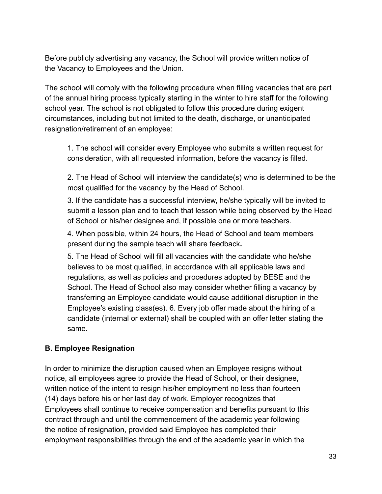Before publicly advertising any vacancy, the School will provide written notice of the Vacancy to Employees and the Union.

The school will comply with the following procedure when filling vacancies that are part of the annual hiring process typically starting in the winter to hire staff for the following school year. The school is not obligated to follow this procedure during exigent circumstances, including but not limited to the death, discharge, or unanticipated resignation/retirement of an employee:

1. The school will consider every Employee who submits a written request for consideration, with all requested information, before the vacancy is filled.

2. The Head of School will interview the candidate(s) who is determined to be the most qualified for the vacancy by the Head of School.

3. If the candidate has a successful interview, he/she typically will be invited to submit a lesson plan and to teach that lesson while being observed by the Head of School or his/her designee and, if possible one or more teachers.

4. When possible, within 24 hours, the Head of School and team members present during the sample teach will share feedback **.** 

5. The Head of School will fill all vacancies with the candidate who he/she believes to be most qualified, in accordance with all applicable laws and regulations, as well as policies and procedures adopted by BESE and the School. The Head of School also may consider whether filling a vacancy by transferring an Employee candidate would cause additional disruption in the Employee's existing class(es). 6. Every job offer made about the hiring of a candidate (internal or external) shall be coupled with an offer letter stating the same.

## **B. Employee Resignation**

In order to minimize the disruption caused when an Employee resigns without notice, all employees agree to provide the Head of School, or their designee, written notice of the intent to resign his/her employment no less than fourteen (14) days before his or her last day of work. Employer recognizes that Employees shall continue to receive compensation and benefits pursuant to this contract through and until the commencement of the academic year following the notice of resignation, provided said Employee has completed their employment responsibilities through the end of the academic year in which the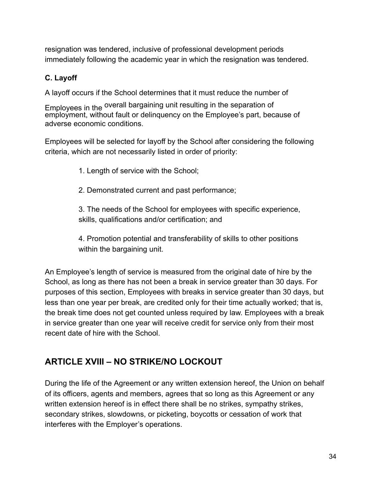resignation was tendered, inclusive of professional development periods immediately following the academic year in which the resignation was tendered.

## **C. Layoff**

A layoff occurs if the School determines that it must reduce the number of

Employees in the <sup>overall</sup> bargaining unit resulting in the separation of employment, without fault or delinquency on the Employee's part, because of adverse economic conditions.

Employees will be selected for layoff by the School after considering the following criteria, which are not necessarily listed in order of priority:

1. Length of service with the School;

2. Demonstrated current and past performance;

3. The needs of the School for employees with specific experience, skills, qualifications and/or certification; and

4. Promotion potential and transferability of skills to other positions within the bargaining unit.

An Employee's length of service is measured from the original date of hire by the School, as long as there has not been a break in service greater than 30 days. For purposes of this section, Employees with breaks in service greater than 30 days, but less than one year per break, are credited only for their time actually worked; that is, the break time does not get counted unless required by law. Employees with a break in service greater than one year will receive credit for service only from their most recent date of hire with the School.

## **ARTICLE XVIII – NO STRIKE/NO LOCKOUT**

During the life of the Agreement or any written extension hereof, the Union on behalf of its officers, agents and members, agrees that so long as this Agreement or any written extension hereof is in effect there shall be no strikes, sympathy strikes, secondary strikes, slowdowns, or picketing, boycotts or cessation of work that interferes with the Employer's operations.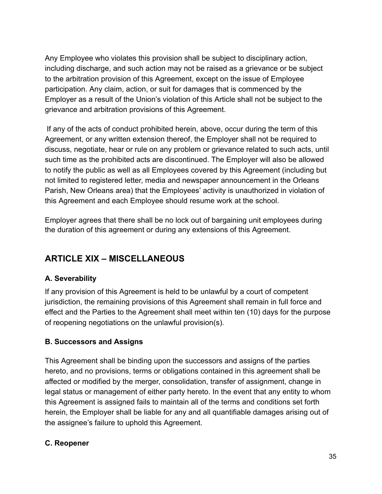Any Employee who violates this provision shall be subject to disciplinary action, including discharge, and such action may not be raised as a grievance or be subject to the arbitration provision of this Agreement, except on the issue of Employee participation. Any claim, action, or suit for damages that is commenced by the Employer as a result of the Union's violation of this Article shall not be subject to the grievance and arbitration provisions of this Agreement.

If any of the acts of conduct prohibited herein, above, occur during the term of this Agreement, or any written extension thereof, the Employer shall not be required to discuss, negotiate, hear or rule on any problem or grievance related to such acts, until such time as the prohibited acts are discontinued. The Employer will also be allowed to notify the public as well as all Employees covered by this Agreement (including but not limited to registered letter, media and newspaper announcement in the Orleans Parish, New Orleans area) that the Employees' activity is unauthorized in violation of this Agreement and each Employee should resume work at the school.

Employer agrees that there shall be no lock out of bargaining unit employees during the duration of this agreement or during any extensions of this Agreement.

## **ARTICLE XIX – MISCELLANEOUS**

## **A. Severability**

If any provision of this Agreement is held to be unlawful by a court of competent jurisdiction, the remaining provisions of this Agreement shall remain in full force and effect and the Parties to the Agreement shall meet within ten (10) days for the purpose of reopening negotiations on the unlawful provision(s).

## **B. Successors and Assigns**

This Agreement shall be binding upon the successors and assigns of the parties hereto, and no provisions, terms or obligations contained in this agreement shall be affected or modified by the merger, consolidation, transfer of assignment, change in legal status or management of either party hereto. In the event that any entity to whom this Agreement is assigned fails to maintain all of the terms and conditions set forth herein, the Employer shall be liable for any and all quantifiable damages arising out of the assignee's failure to uphold this Agreement.

#### **C. Reopener**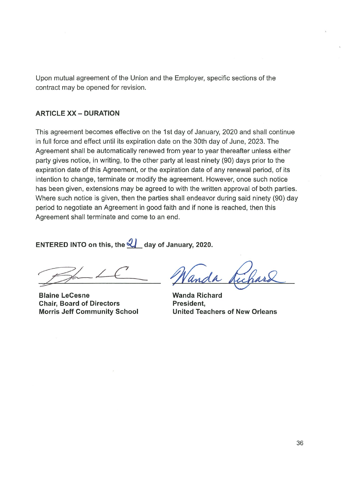Upon mutual agreement of the Union and the Employer, specific sections of the contract may be opened for revision.

#### **ARTICLE XX - DURATION**

This agreement becomes effective on the 1st day of January, 2020 and shall continue in full force and effect until its expiration date on the 30th day of June, 2023. The Agreement shall be automatically renewed from year to year thereafter unless either party gives notice, in writing, to the other party at least ninety (90) days prior to the expiration date of this Agreement, or the expiration date of any renewal period, of its intention to change, terminate or modify the agreement. However, once such notice has been given, extensions may be agreed to with the written approval of both parties. Where such notice is given, then the parties shall endeavor during said ninety (90) day period to negotiate an Agreement in good faith and if none is reached, then this Agreement shall terminate and come to an end.

ENTERED INTO on this, the  $\mathcal{Q}_\text{max}$  day of January, 2020.

**Blaine LeCesne Chair, Board of Directors Morris Jeff Community School** 

**Wanda Richard** President, **United Teachers of New Orleans**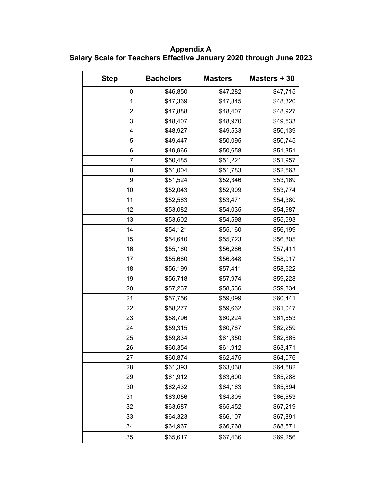**Appendix A Salary Scale for Teachers Effective January 2020 through June 2023**

| <b>Step</b>    | <b>Bachelors</b> | <b>Masters</b> | Masters + 30 |
|----------------|------------------|----------------|--------------|
| 0              | \$46,850         | \$47,282       | \$47,715     |
| 1              | \$47,369         | \$47,845       | \$48,320     |
| $\overline{2}$ | \$47,888         | \$48,407       | \$48,927     |
| 3              | \$48,407         | \$48,970       | \$49,533     |
| 4              | \$48,927         | \$49,533       | \$50,139     |
| 5              | \$49,447         | \$50,095       | \$50,745     |
| 6              | \$49,966         | \$50,658       | \$51,351     |
| 7              | \$50,485         | \$51,221       | \$51,957     |
| 8              | \$51,004         | \$51,783       | \$52,563     |
| 9              | \$51,524         | \$52,346       | \$53,169     |
| 10             | \$52,043         | \$52,909       | \$53,774     |
| 11             | \$52,563         | \$53,471       | \$54,380     |
| 12             | \$53,082         | \$54,035       | \$54,987     |
| 13             | \$53,602         | \$54,598       | \$55,593     |
| 14             | \$54,121         | \$55,160       | \$56,199     |
| 15             | \$54,640         | \$55,723       | \$56,805     |
| 16             | \$55,160         | \$56,286       | \$57,411     |
| 17             | \$55,680         | \$56,848       | \$58,017     |
| 18             | \$56,199         | \$57,411       | \$58,622     |
| 19             | \$56,718         | \$57,974       | \$59,228     |
| 20             | \$57,237         | \$58,536       | \$59,834     |
| 21             | \$57,756         | \$59,099       | \$60,441     |
| 22             | \$58,277         | \$59,662       | \$61,047     |
| 23             | \$58,796         | \$60,224       | \$61,653     |
| 24             | \$59,315         | \$60,787       | \$62,259     |
| 25             | \$59,834         | \$61,350       | \$62,865     |
| 26             | \$60,354         | \$61,912       | \$63,471     |
| 27             | \$60,874         | \$62,475       | \$64,076     |
| 28             | \$61,393         | \$63,038       | \$64,682     |
| 29             | \$61,912         | \$63,600       | \$65,288     |
| 30             | \$62,432         | \$64,163       | \$65,894     |
| 31             | \$63,056         | \$64,805       | \$66,553     |
| 32             | \$63,687         | \$65,452       | \$67,219     |
| 33             | \$64,323         | \$66,107       | \$67,891     |
| 34             | \$64,967         | \$66,768       | \$68,571     |
| 35             | \$65,617         | \$67,436       | \$69,256     |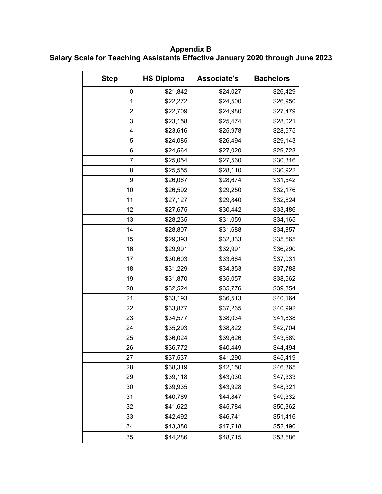**Appendix B Salary Scale for Teaching Assistants Effective January 2020 through June 2023**

| <b>Step</b> | <b>HS Diploma</b> | Associate's | <b>Bachelors</b> |
|-------------|-------------------|-------------|------------------|
| 0           | \$21,842          | \$24,027    | \$26,429         |
| 1           | \$22,272          | \$24,500    | \$26,950         |
| 2           | \$22,709          | \$24,980    | \$27,479         |
| 3           | \$23,158          | \$25,474    | \$28,021         |
| 4           | \$23,616          | \$25,978    | \$28,575         |
| 5           | \$24,085          | \$26,494    | \$29,143         |
| 6           | \$24,564          | \$27,020    | \$29,723         |
| 7           | \$25,054          | \$27,560    | \$30,316         |
| 8           | \$25,555          | \$28,110    | \$30,922         |
| 9           | \$26,067          | \$28,674    | \$31,542         |
| 10          | \$26,592          | \$29,250    | \$32,176         |
| 11          | \$27,127          | \$29,840    | \$32,824         |
| 12          | \$27,675          | \$30,442    | \$33,486         |
| 13          | \$28,235          | \$31,059    | \$34,165         |
| 14          | \$28,807          | \$31,688    | \$34,857         |
| 15          | \$29,393          | \$32,333    | \$35,565         |
| 16          | \$29,991          | \$32,991    | \$36,290         |
| 17          | \$30,603          | \$33,664    | \$37,031         |
| 18          | \$31,229          | \$34,353    | \$37,788         |
| 19          | \$31,870          | \$35,057    | \$38,562         |
| 20          | \$32,524          | \$35,776    | \$39,354         |
| 21          | \$33,193          | \$36,513    | \$40,164         |
| 22          | \$33,877          | \$37,265    | \$40,992         |
| 23          | \$34,577          | \$38,034    | \$41,838         |
| 24          | \$35,293          | \$38,822    | \$42,704         |
| 25          | \$36,024          | \$39,626    | \$43,589         |
| 26          | \$36,772          | \$40,449    | \$44,494         |
| 27          | \$37,537          | \$41,290    | \$45,419         |
| 28          | \$38,319          | \$42,150    | \$46,365         |
| 29          | \$39,118          | \$43,030    | \$47,333         |
| 30          | \$39,935          | \$43,928    | \$48,321         |
| 31          | \$40,769          | \$44,847    | \$49,332         |
| 32          | \$41,622          | \$45,784    | \$50,362         |
| 33          | \$42,492          | \$46,741    | \$51,416         |
| 34          | \$43,380          | \$47,718    | \$52,490         |
| 35          | \$44,286          | \$48,715    | \$53,586         |